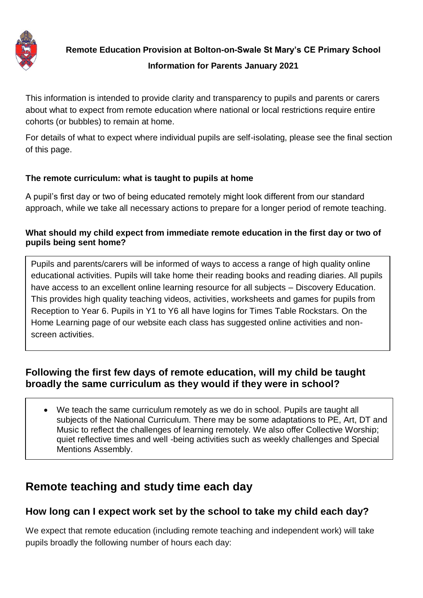

**Remote Education Provision at Bolton-on-Swale St Mary's CE Primary School Information for Parents January 2021**

This information is intended to provide clarity and transparency to pupils and parents or carers about what to expect from remote education where national or local restrictions require entire cohorts (or bubbles) to remain at home.

For details of what to expect where individual pupils are self-isolating, please see the final section of this page.

#### **The remote curriculum: what is taught to pupils at home**

A pupil's first day or two of being educated remotely might look different from our standard approach, while we take all necessary actions to prepare for a longer period of remote teaching.

#### **What should my child expect from immediate remote education in the first day or two of pupils being sent home?**

Pupils and parents/carers will be informed of ways to access a range of high quality online educational activities. Pupils will take home their reading books and reading diaries. All pupils have access to an excellent online learning resource for all subjects – Discovery Education. This provides high quality teaching videos, activities, worksheets and games for pupils from Reception to Year 6. Pupils in Y1 to Y6 all have logins for Times Table Rockstars. On the Home Learning page of our website each class has suggested online activities and nonscreen activities.

### **Following the first few days of remote education, will my child be taught broadly the same curriculum as they would if they were in school?**

 We teach the same curriculum remotely as we do in school. Pupils are taught all subjects of the National Curriculum. There may be some adaptations to PE, Art, DT and Music to reflect the challenges of learning remotely. We also offer Collective Worship; quiet reflective times and well -being activities such as weekly challenges and Special Mentions Assembly.

# **Remote teaching and study time each day**

### **How long can I expect work set by the school to take my child each day?**

We expect that remote education (including remote teaching and independent work) will take pupils broadly the following number of hours each day: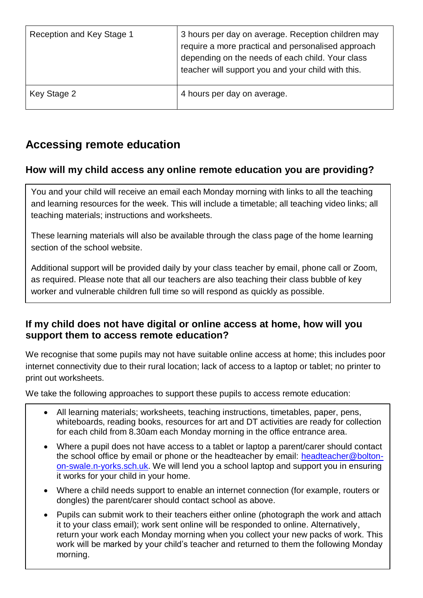| Reception and Key Stage 1 | 3 hours per day on average. Reception children may<br>require a more practical and personalised approach<br>depending on the needs of each child. Your class<br>teacher will support you and your child with this. |
|---------------------------|--------------------------------------------------------------------------------------------------------------------------------------------------------------------------------------------------------------------|
| Key Stage 2               | 4 hours per day on average.                                                                                                                                                                                        |

# **Accessing remote education**

## **How will my child access any online remote education you are providing?**

You and your child will receive an email each Monday morning with links to all the teaching and learning resources for the week. This will include a timetable; all teaching video links; all teaching materials; instructions and worksheets.

These learning materials will also be available through the class page of the home learning section of the school website.

Additional support will be provided daily by your class teacher by email, phone call or Zoom, as required. Please note that all our teachers are also teaching their class bubble of key worker and vulnerable children full time so will respond as quickly as possible.

### **If my child does not have digital or online access at home, how will you support them to access remote education?**

We recognise that some pupils may not have suitable online access at home; this includes poor internet connectivity due to their rural location; lack of access to a laptop or tablet; no printer to print out worksheets.

We take the following approaches to support these pupils to access remote education:

- All learning materials; worksheets, teaching instructions, timetables, paper, pens, whiteboards, reading books, resources for art and DT activities are ready for collection for each child from 8.30am each Monday morning in the office entrance area.
- Where a pupil does not have access to a tablet or laptop a parent/carer should contact the school office by email or phone or the headteacher by email: [headteacher@bolton](mailto:headteacher@bolton-on-swale.n-yorks.sch.uk)[on-swale.n-yorks.sch.uk.](mailto:headteacher@bolton-on-swale.n-yorks.sch.uk) We will lend you a school laptop and support you in ensuring it works for your child in your home.
- Where a child needs support to enable an internet connection (for example, routers or dongles) the parent/carer should contact school as above.
- Pupils can submit work to their teachers either online (photograph the work and attach it to your class email); work sent online will be responded to online. Alternatively, return your work each Monday morning when you collect your new packs of work. This work will be marked by your child's teacher and returned to them the following Monday morning.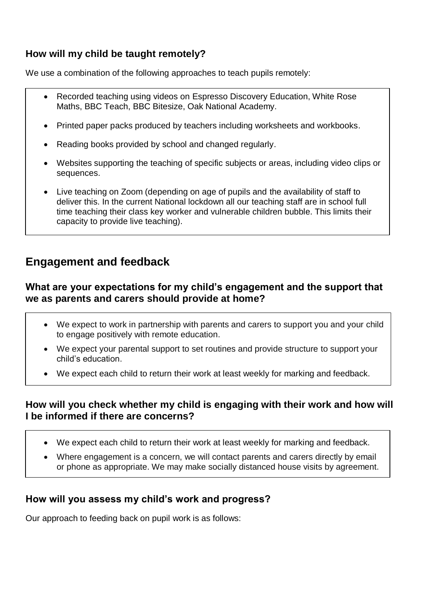## **How will my child be taught remotely?**

We use a combination of the following approaches to teach pupils remotely:

- Recorded teaching using videos on Espresso Discovery Education, White Rose Maths, BBC Teach, BBC Bitesize, Oak National Academy.
- Printed paper packs produced by teachers including worksheets and workbooks.
- Reading books provided by school and changed regularly.
- Websites supporting the teaching of specific subjects or areas, including video clips or sequences.
- Live teaching on Zoom (depending on age of pupils and the availability of staff to deliver this. In the current National lockdown all our teaching staff are in school full time teaching their class key worker and vulnerable children bubble. This limits their capacity to provide live teaching).

# **Engagement and feedback**

### **What are your expectations for my child's engagement and the support that we as parents and carers should provide at home?**

- We expect to work in partnership with parents and carers to support you and your child to engage positively with remote education.
- We expect your parental support to set routines and provide structure to support your child's education.
- We expect each child to return their work at least weekly for marking and feedback.

### **How will you check whether my child is engaging with their work and how will I be informed if there are concerns?**

- We expect each child to return their work at least weekly for marking and feedback.
- Where engagement is a concern, we will contact parents and carers directly by email or phone as appropriate. We may make socially distanced house visits by agreement.

### **How will you assess my child's work and progress?**

Our approach to feeding back on pupil work is as follows: